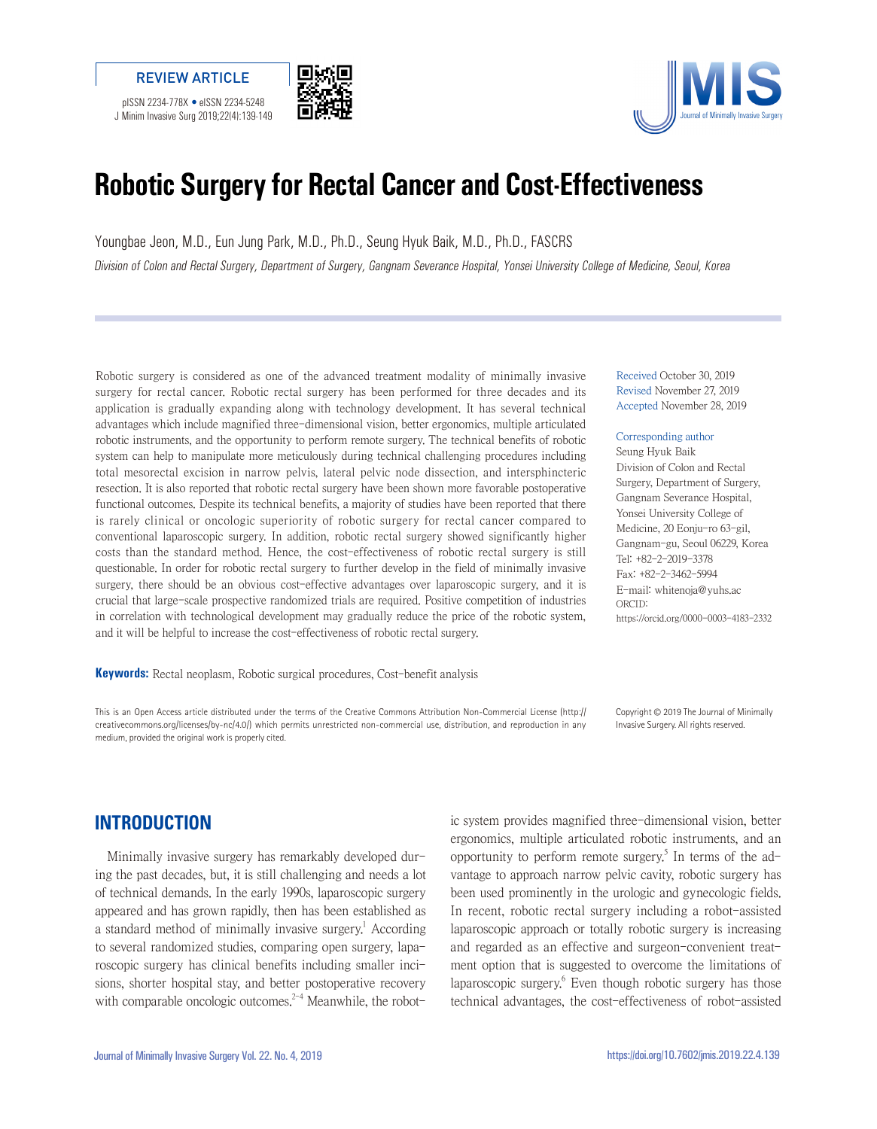





# **Robotic Surgery for Rectal Cancer and Cost-Effectiveness**

Youngbae Jeon, M.D., Eun Jung Park, M.D., Ph.D., Seung Hyuk Baik, M.D., Ph.D., FASCRS Division of Colon and Rectal Surgery, Department of Surgery, Gangnam Severance Hospital, Yonsei University College of Medicine, Seoul, Korea

Robotic surgery is considered as one of the advanced treatment modality of minimally invasive surgery for rectal cancer. Robotic rectal surgery has been performed for three decades and its application is gradually expanding along with technology development. It has several technical advantages which include magnified three-dimensional vision, better ergonomics, multiple articulated robotic instruments, and the opportunity to perform remote surgery. The technical benefits of robotic system can help to manipulate more meticulously during technical challenging procedures including total mesorectal excision in narrow pelvis, lateral pelvic node dissection, and intersphincteric resection. It is also reported that robotic rectal surgery have been shown more favorable postoperative functional outcomes. Despite its technical benefits, a majority of studies have been reported that there is rarely clinical or oncologic superiority of robotic surgery for rectal cancer compared to conventional laparoscopic surgery. In addition, robotic rectal surgery showed significantly higher costs than the standard method. Hence, the cost-effectiveness of robotic rectal surgery is still questionable. In order for robotic rectal surgery to further develop in the field of minimally invasive surgery, there should be an obvious cost-effective advantages over laparoscopic surgery, and it is crucial that large-scale prospective randomized trials are required. Positive competition of industries in correlation with technological development may gradually reduce the price of the robotic system, and it will be helpful to increase the cost-effectiveness of robotic rectal surgery.

**Keywords:** Rectal neoplasm, Robotic surgical procedures, Cost-benefit analysis

This is an Open Access article distributed under the terms of the Creative Commons Attribution Non-Commercial License (http:// creativecommons.org/licenses/by-nc/4.0/) which permits unrestricted non-commercial use, distribution, and reproduction in any medium, provided the original work is properly cited.

Received October 30, 2019 Revised November 27, 2019 Accepted November 28, 2019

#### Corresponding author

Seung Hyuk Baik Division of Colon and Rectal Surgery, Department of Surgery, Gangnam Severance Hospital, Yonsei University College of Medicine, 20 Eonju-ro 63-gil, Gangnam-gu, Seoul 06229, Korea Tel: +82-2-2019-3378 Fax: +82-2-3462-5994 E-mail: whitenoja@yuhs.ac ORCID: https://orcid.org/0000-0003-4183-2332

Copyright © 2019 The Journal of Minimally Invasive Surgery. All rights reserved.

### **INTRODUCTION**

Minimally invasive surgery has remarkably developed during the past decades, but, it is still challenging and needs a lot of technical demands. In the early 1990s, laparoscopic surgery appeared and has grown rapidly, then has been established as a standard method of minimally invasive surgery.<sup>1</sup> According to several randomized studies, comparing open surgery, laparoscopic surgery has clinical benefits including smaller incisions, shorter hospital stay, and better postoperative recovery with comparable oncologic outcomes.<sup>2-4</sup> Meanwhile, the robotic system provides magnified three-dimensional vision, better ergonomics, multiple articulated robotic instruments, and an opportunity to perform remote surgery.<sup>5</sup> In terms of the advantage to approach narrow pelvic cavity, robotic surgery has been used prominently in the urologic and gynecologic fields. In recent, robotic rectal surgery including a robot-assisted laparoscopic approach or totally robotic surgery is increasing and regarded as an effective and surgeon-convenient treatment option that is suggested to overcome the limitations of laparoscopic surgery.<sup>6</sup> Even though robotic surgery has those technical advantages, the cost-effectiveness of robot-assisted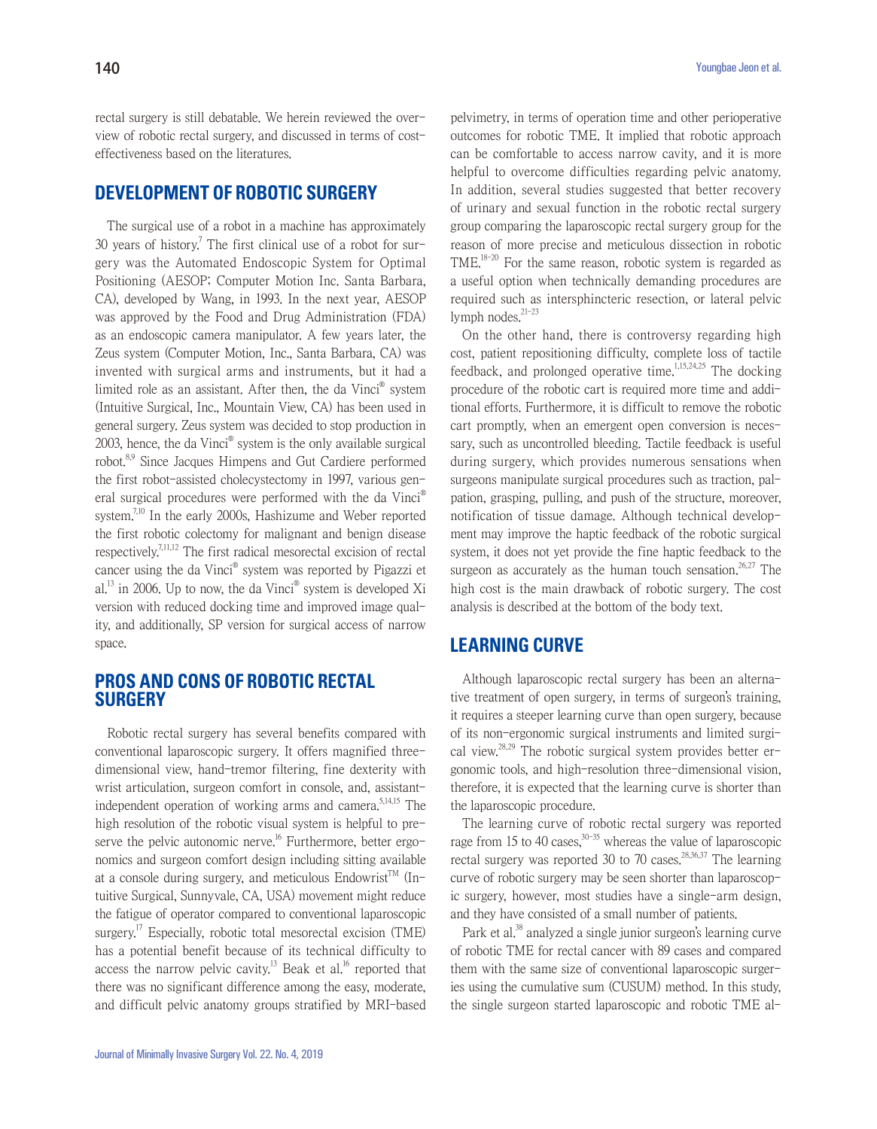rectal surgery is still debatable. We herein reviewed the overview of robotic rectal surgery, and discussed in terms of costeffectiveness based on the literatures.

# **DEVELOPMENT OF ROBOTIC SURGERY**

The surgical use of a robot in a machine has approximately 30 years of history.<sup>7</sup> The first clinical use of a robot for surgery was the Automated Endoscopic System for Optimal Positioning (AESOP; Computer Motion Inc. Santa Barbara, CA), developed by Wang, in 1993. In the next year, AESOP was approved by the Food and Drug Administration (FDA) as an endoscopic camera manipulator. A few years later, the Zeus system (Computer Motion, Inc., Santa Barbara, CA) was invented with surgical arms and instruments, but it had a limited role as an assistant. After then, the da Vinci<sup>®</sup> system (Intuitive Surgical, Inc., Mountain View, CA) has been used in general surgery. Zeus system was decided to stop production in 2003, hence, the da Vinci<sup>®</sup> system is the only available surgical robot.8,9 Since Jacques Himpens and Gut Cardiere performed the first robot-assisted cholecystectomy in 1997, various general surgical procedures were performed with the da Vinci® system.<sup>7,10</sup> In the early 2000s, Hashizume and Weber reported the first robotic colectomy for malignant and benign disease respectively.<sup>7,11,12</sup> The first radical mesorectal excision of rectal cancer using the da Vinci<sup>®</sup> system was reported by Pigazzi et al.<sup>13</sup> in 2006. Up to now, the da Vinci<sup>®</sup> system is developed Xi version with reduced docking time and improved image quality, and additionally, SP version for surgical access of narrow space.

# **PROS AND CONS OF ROBOTIC RECTAL SURGERY**

Robotic rectal surgery has several benefits compared with conventional laparoscopic surgery. It offers magnified threedimensional view, hand-tremor filtering, fine dexterity with wrist articulation, surgeon comfort in console, and, assistantindependent operation of working arms and camera. $5,14,15$  The high resolution of the robotic visual system is helpful to preserve the pelvic autonomic nerve.<sup>16</sup> Furthermore, better ergonomics and surgeon comfort design including sitting available at a console during surgery, and meticulous Endowrist<sup>TM</sup> (Intuitive Surgical, Sunnyvale, CA, USA) movement might reduce the fatigue of operator compared to conventional laparoscopic surgery.<sup>17</sup> Especially, robotic total mesorectal excision (TME) has a potential benefit because of its technical difficulty to access the narrow pelvic cavity.<sup>13</sup> Beak et al.<sup>16</sup> reported that there was no significant difference among the easy, moderate, and difficult pelvic anatomy groups stratified by MRI-based

pelvimetry, in terms of operation time and other perioperative outcomes for robotic TME. It implied that robotic approach can be comfortable to access narrow cavity, and it is more helpful to overcome difficulties regarding pelvic anatomy. In addition, several studies suggested that better recovery of urinary and sexual function in the robotic rectal surgery group comparing the laparoscopic rectal surgery group for the reason of more precise and meticulous dissection in robotic TME.18-20 For the same reason, robotic system is regarded as a useful option when technically demanding procedures are required such as intersphincteric resection, or lateral pelvic lymph nodes. $21-23$ 

On the other hand, there is controversy regarding high cost, patient repositioning difficulty, complete loss of tactile feedback, and prolonged operative time.<sup>1,15,24,25</sup> The docking procedure of the robotic cart is required more time and additional efforts. Furthermore, it is difficult to remove the robotic cart promptly, when an emergent open conversion is necessary, such as uncontrolled bleeding. Tactile feedback is useful during surgery, which provides numerous sensations when surgeons manipulate surgical procedures such as traction, palpation, grasping, pulling, and push of the structure, moreover, notification of tissue damage. Although technical development may improve the haptic feedback of the robotic surgical system, it does not yet provide the fine haptic feedback to the surgeon as accurately as the human touch sensation.<sup>26,27</sup> The high cost is the main drawback of robotic surgery. The cost analysis is described at the bottom of the body text.

### **LEARNING CURVE**

Although laparoscopic rectal surgery has been an alternative treatment of open surgery, in terms of surgeon's training, it requires a steeper learning curve than open surgery, because of its non-ergonomic surgical instruments and limited surgical view.<sup>28,29</sup> The robotic surgical system provides better ergonomic tools, and high-resolution three-dimensional vision, therefore, it is expected that the learning curve is shorter than the laparoscopic procedure.

The learning curve of robotic rectal surgery was reported rage from 15 to 40 cases,  $30-35$  whereas the value of laparoscopic rectal surgery was reported 30 to 70 cases.<sup>28,36,37</sup> The learning curve of robotic surgery may be seen shorter than laparoscopic surgery, however, most studies have a single-arm design, and they have consisted of a small number of patients.

Park et al.<sup>38</sup> analyzed a single junior surgeon's learning curve of robotic TME for rectal cancer with 89 cases and compared them with the same size of conventional laparoscopic surgeries using the cumulative sum (CUSUM) method. In this study, the single surgeon started laparoscopic and robotic TME al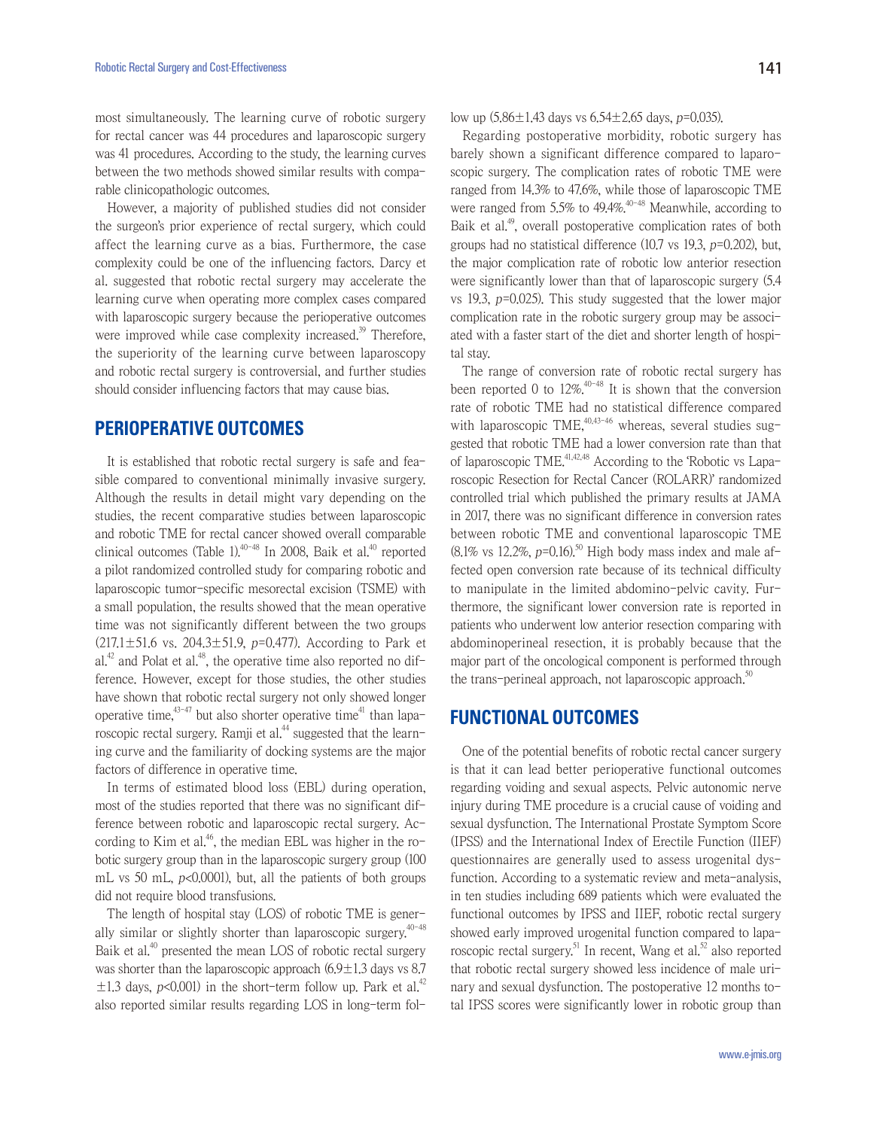most simultaneously. The learning curve of robotic surgery for rectal cancer was 44 procedures and laparoscopic surgery was 41 procedures. According to the study, the learning curves between the two methods showed similar results with comparable clinicopathologic outcomes.

However, a majority of published studies did not consider the surgeon's prior experience of rectal surgery, which could affect the learning curve as a bias. Furthermore, the case complexity could be one of the influencing factors. Darcy et al. suggested that robotic rectal surgery may accelerate the learning curve when operating more complex cases compared with laparoscopic surgery because the perioperative outcomes were improved while case complexity increased.<sup>39</sup> Therefore, the superiority of the learning curve between laparoscopy and robotic rectal surgery is controversial, and further studies should consider influencing factors that may cause bias.

# **PERIOPERATIVE OUTCOMES**

It is established that robotic rectal surgery is safe and feasible compared to conventional minimally invasive surgery. Although the results in detail might vary depending on the studies, the recent comparative studies between laparoscopic and robotic TME for rectal cancer showed overall comparable clinical outcomes (Table 1). $40-48$  In 2008, Baik et al. $40$  reported a pilot randomized controlled study for comparing robotic and laparoscopic tumor-specific mesorectal excision (TSME) with a small population, the results showed that the mean operative time was not significantly different between the two groups  $(217.1 \pm 51.6 \text{ vs. } 204.3 \pm 51.9, p=0.477)$ . According to Park et al.<sup>42</sup> and Polat et al.<sup>48</sup>, the operative time also reported no difference. However, except for those studies, the other studies have shown that robotic rectal surgery not only showed longer operative time, $43-47$  but also shorter operative time<sup>41</sup> than laparoscopic rectal surgery. Ramji et al.<sup>44</sup> suggested that the learning curve and the familiarity of docking systems are the major factors of difference in operative time.

In terms of estimated blood loss (EBL) during operation, most of the studies reported that there was no significant difference between robotic and laparoscopic rectal surgery. According to Kim et al.<sup>46</sup>, the median EBL was higher in the robotic surgery group than in the laparoscopic surgery group (100 mL vs 50 mL,  $p<0.0001$ ), but, all the patients of both groups did not require blood transfusions.

The length of hospital stay (LOS) of robotic TME is generally similar or slightly shorter than laparoscopic surgery.<sup>40-48</sup> Baik et al.<sup>40</sup> presented the mean LOS of robotic rectal surgery was shorter than the laparoscopic approach  $(6.9 \pm 1.3$  days vs 8.7  $\pm$ 1.3 days, p<0.001) in the short-term follow up. Park et al.<sup>42</sup> also reported similar results regarding LOS in long-term follow up  $(5.86 \pm 1.43$  days vs  $6.54 \pm 2.65$  days,  $p=0.035$ ).

Regarding postoperative morbidity, robotic surgery has barely shown a significant difference compared to laparoscopic surgery. The complication rates of robotic TME were ranged from 14.3% to 47.6%, while those of laparoscopic TME were ranged from 5.5% to 49.4% $^{40-48}$  Meanwhile, according to Baik et al.<sup>49</sup>, overall postoperative complication rates of both groups had no statistical difference (10.7 vs 19.3, p=0.202), but, the major complication rate of robotic low anterior resection were significantly lower than that of laparoscopic surgery (5.4 vs 19.3, p=0.025). This study suggested that the lower major complication rate in the robotic surgery group may be associated with a faster start of the diet and shorter length of hospital stay.

The range of conversion rate of robotic rectal surgery has been reported 0 to  $12\%$ <sup>40-48</sup> It is shown that the conversion rate of robotic TME had no statistical difference compared with laparoscopic TME, $40,43-46$  whereas, several studies suggested that robotic TME had a lower conversion rate than that of laparoscopic TME.41,42,48 According to the 'Robotic vs Laparoscopic Resection for Rectal Cancer (ROLARR)' randomized controlled trial which published the primary results at JAMA in 2017, there was no significant difference in conversion rates between robotic TME and conventional laparoscopic TME  $(8.1\% \text{ vs } 12.2\%, p=0.16).$ <sup>50</sup> High body mass index and male affected open conversion rate because of its technical difficulty to manipulate in the limited abdomino-pelvic cavity. Furthermore, the significant lower conversion rate is reported in patients who underwent low anterior resection comparing with abdominoperineal resection, it is probably because that the major part of the oncological component is performed through the trans-perineal approach, not laparoscopic approach.<sup>50</sup>

#### **FUNCTIONAL OUTCOMES**

One of the potential benefits of robotic rectal cancer surgery is that it can lead better perioperative functional outcomes regarding voiding and sexual aspects. Pelvic autonomic nerve injury during TME procedure is a crucial cause of voiding and sexual dysfunction. The International Prostate Symptom Score (IPSS) and the International Index of Erectile Function (IIEF) questionnaires are generally used to assess urogenital dysfunction. According to a systematic review and meta-analysis, in ten studies including 689 patients which were evaluated the functional outcomes by IPSS and IIEF, robotic rectal surgery showed early improved urogenital function compared to laparoscopic rectal surgery.<sup>51</sup> In recent, Wang et al.<sup>52</sup> also reported that robotic rectal surgery showed less incidence of male urinary and sexual dysfunction. The postoperative 12 months total IPSS scores were significantly lower in robotic group than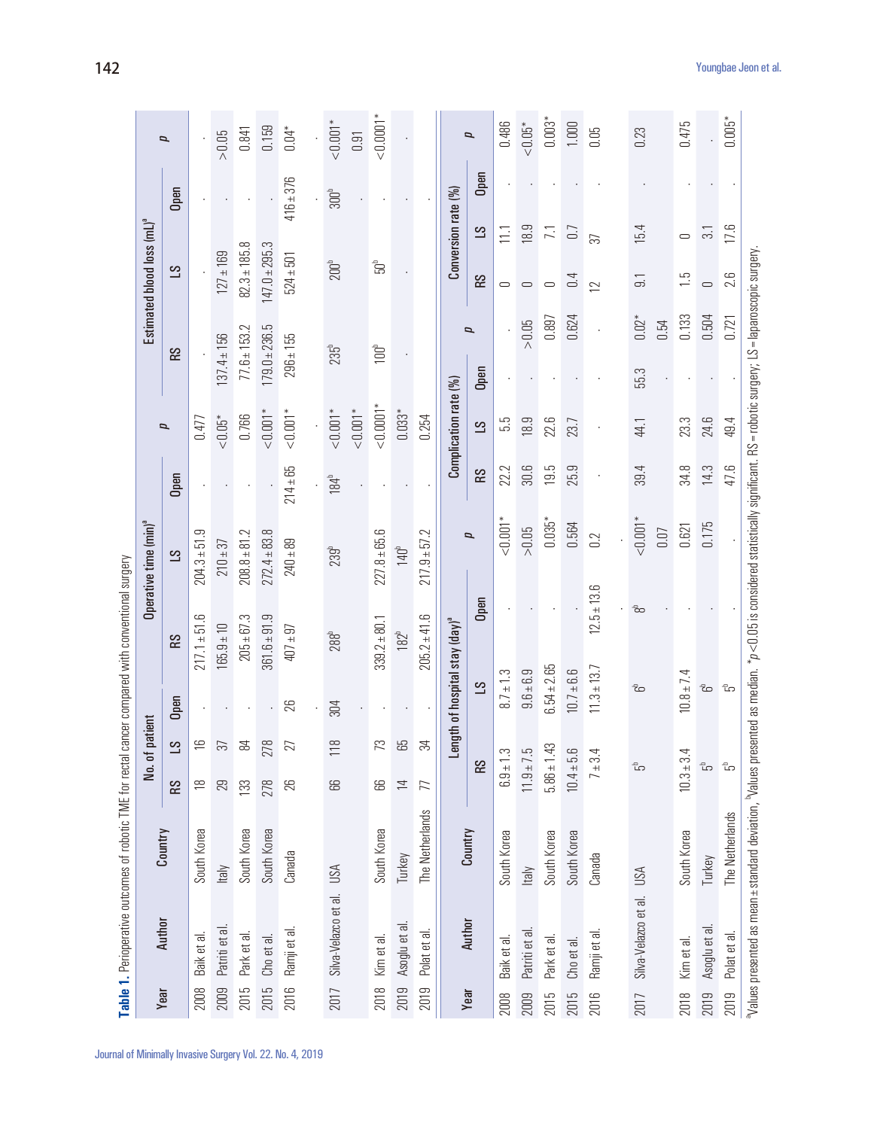|      | Table 1. Perioperative outcomes of robotic TME for rectal cancer compared with conventional surgery                                                                    |                 |                           |                |                 |                                     |                                   |                  |                       |                                  |                                        |                        |                |
|------|------------------------------------------------------------------------------------------------------------------------------------------------------------------------|-----------------|---------------------------|----------------|-----------------|-------------------------------------|-----------------------------------|------------------|-----------------------|----------------------------------|----------------------------------------|------------------------|----------------|
|      |                                                                                                                                                                        |                 |                           | No. of pati    | Ent             |                                     | Operative time (min) <sup>ª</sup> |                  |                       |                                  | Estimated blood loss (mL) <sup>ª</sup> |                        |                |
| Year | Author                                                                                                                                                                 | Country         | R <sub>S</sub>            | $\overline{S}$ | Open            | SS <sub>1</sub>                     | $\overline{S}$                    | Open             | $\overline{p}$        | <b>SS</b>                        | ST                                     | Open                   | $\overline{a}$ |
| 2008 | Baik et al.                                                                                                                                                            | South Korea     | $\approx$                 | $\frac{1}{2}$  |                 | $217.1 + 51.6$                      | $204.3 + 51.9$                    |                  | 0.477                 |                                  |                                        |                        |                |
| 2009 | Patriti et al                                                                                                                                                          | <b>Italy</b>    | 29                        | 57             |                 | $165.9 + 10$                        | $210 + 37$                        |                  | $< 0.05*$             | $37.4 \pm 156$                   | $127 \pm 169$                          |                        | $>0.05$        |
| 2015 | Park et al                                                                                                                                                             | South Korea     | 133                       | 54             |                 | $205 + 67.3$                        | $208.8 + 81.2$                    |                  | 0.766                 | $77.6 \pm 153.2$                 | $82.3 \pm 185.8$                       |                        | 0.841          |
| 2015 | Cho et al.                                                                                                                                                             | South Korea     | 278                       | 278            |                 | $361.6 \pm 91.9$                    | $272.4 \pm 83.8$                  |                  | $10.001*$             | $179.0 + 236.5$                  | $147.0 + 295.3$                        |                        | 0.159          |
| 2016 | Ramji et al.                                                                                                                                                           | Canada          | 26                        | 27             | 26              | $407 \pm 97$                        | $240 \pm 89$                      | $214 \pm 65$     | $<0.001*$             | $296 \pm 155$                    | $524 + 501$                            | $416 + 376$            | $0.04*$        |
|      |                                                                                                                                                                        |                 |                           |                |                 |                                     |                                   |                  |                       |                                  |                                        |                        |                |
| 2017 | Silva-Velazco et al.                                                                                                                                                   | USA             | 89                        | 118            | 304             | 288 <sup>b</sup>                    | 239 <sup>b</sup>                  | 184 <sup>b</sup> | $1001*$               | 235 <sup>b</sup>                 | 200 <sup>b</sup>                       | 300 <sup>b</sup>       | $1001*$        |
|      |                                                                                                                                                                        |                 |                           |                |                 |                                     |                                   |                  | $10001*$              |                                  |                                        |                        | 0.91           |
| 2018 | Kim et al.                                                                                                                                                             | South Korea     | 89                        | 73             |                 | $339.2 \pm 80.1$                    | $227.8 + 65.6$                    |                  | $10001*$              | 100 <sup>b</sup>                 | ្រូ                                    |                        | $< 0.0001*$    |
| 2019 | Asoglu et al                                                                                                                                                           | Turkey          | $\overline{1}$            | 65             |                 | 182 <sup>b</sup>                    | 140 <sup>b</sup>                  |                  | $0.033*$              |                                  |                                        |                        |                |
| 2019 | $\overline{\sigma}$<br>Polat et                                                                                                                                        | The Netherlands | 77                        | $\approx$      |                 | $205.2 \pm 41.6$                    | $217.9 + 57.2$                    |                  | 0.254                 |                                  |                                        |                        |                |
|      |                                                                                                                                                                        |                 |                           | Length         |                 | of hospital stay (day) <sup>a</sup> |                                   |                  | Complication rate (%) |                                  |                                        | Conversion rate (%)    |                |
| Year | Author                                                                                                                                                                 | Country         | <b>RS</b>                 |                | $\overline{S}$  | Open                                | $\overline{\phantom{a}}$          | <b>RS</b>        | $\overline{S}$        | $\overline{\phantom{a}}$<br>Open | <b>RS</b>                              | Open<br>$\overline{S}$ | $\overline{p}$ |
| 2008 | Baik et al.                                                                                                                                                            | South Korea     | $6.9 + 1.3$               |                | $8.7 \pm 1.3$   |                                     | $10.001*$                         | 22.2             | 5.5                   |                                  | $\bigcirc$                             | 11.1                   | 0.486          |
| 2009 | Patriti et al                                                                                                                                                          | <b>Italy</b>    | $11.9 + 7.5$              |                | $9.6 + 6.9$     |                                     | $>0.05$                           | 30.6             | 18.9                  | ${>}\,0.05$                      | $\qquad \qquad \Box$                   | 18.9                   | $<\!\!0.05^*$  |
| 2015 | Park et al.                                                                                                                                                            | South Korea     | $5.86 \pm 1.43$           |                | $6.54 \pm 2.65$ |                                     | $0.035*$                          | 19.5             | 22.6                  | 0.897                            | $\qquad \qquad \Box$                   | $\overline{71}$        | $0.003*$       |
| 2015 | Cho et al.                                                                                                                                                             | South Korea     | $10.4 + 5.6$              |                | $10.7 + 6.6$    |                                     | 0.564                             | 25.9             | 23.7                  | 0.624                            | 0.4                                    | 0.7                    | 1.000          |
| 2016 | Ramji et al.                                                                                                                                                           | Canada          | $7 + 3.4$                 |                | $11.3 \pm 13.7$ | $12.5 \pm 13.6$                     | 0.2                               |                  |                       |                                  | 37<br>$\overline{\mathbf{C}}$          |                        | 0.05           |
| 2017 | Silva-Velazco et al.                                                                                                                                                   | USA             | 品                         |                | ಕೆ              | ಹೆ                                  | $\leq 0.001$ <sup>*</sup>         | 39.4             | 44.1                  | $0.02*$<br>55.3                  | $\overline{5}$                         | 15.4                   | 0.23           |
|      |                                                                                                                                                                        |                 |                           |                |                 |                                     | 0.07                              |                  |                       | 0.54                             |                                        |                        |                |
| 2018 | Kim et al.                                                                                                                                                             | South Korea     | $10.3 + 3.4$              |                | $10.8 \pm 7.4$  |                                     | 0.621                             | 34.8             | 23.3                  | 0.133                            | $\ddot{5}$                             | $\cup$                 | 0.475          |
| 2019 | Asoglu et al.                                                                                                                                                          | Turkey          | دم                        |                | ã               |                                     | 0.175                             | 14.3             | 24.6                  | 0.504                            | $\qquad \qquad \qquad \Box$            | $\overline{3.1}$       |                |
| 2019 | Polat et al.                                                                                                                                                           | The Netherlands | $\mathbb{G}^{\mathbb{G}}$ |                | $\mathbb{G}$    |                                     |                                   | 47.6             | 49.4                  | 0.721                            | 2.6                                    | 17.6                   | $0.005*$       |
|      | Nalues presented as mean±standard deviation, Nalues presented as median. *p<0.05 is considered statistically significant. RS=robotic surgery; LS=laparoscopic surgery; |                 |                           |                |                 |                                     |                                   |                  |                       |                                  |                                        |                        |                |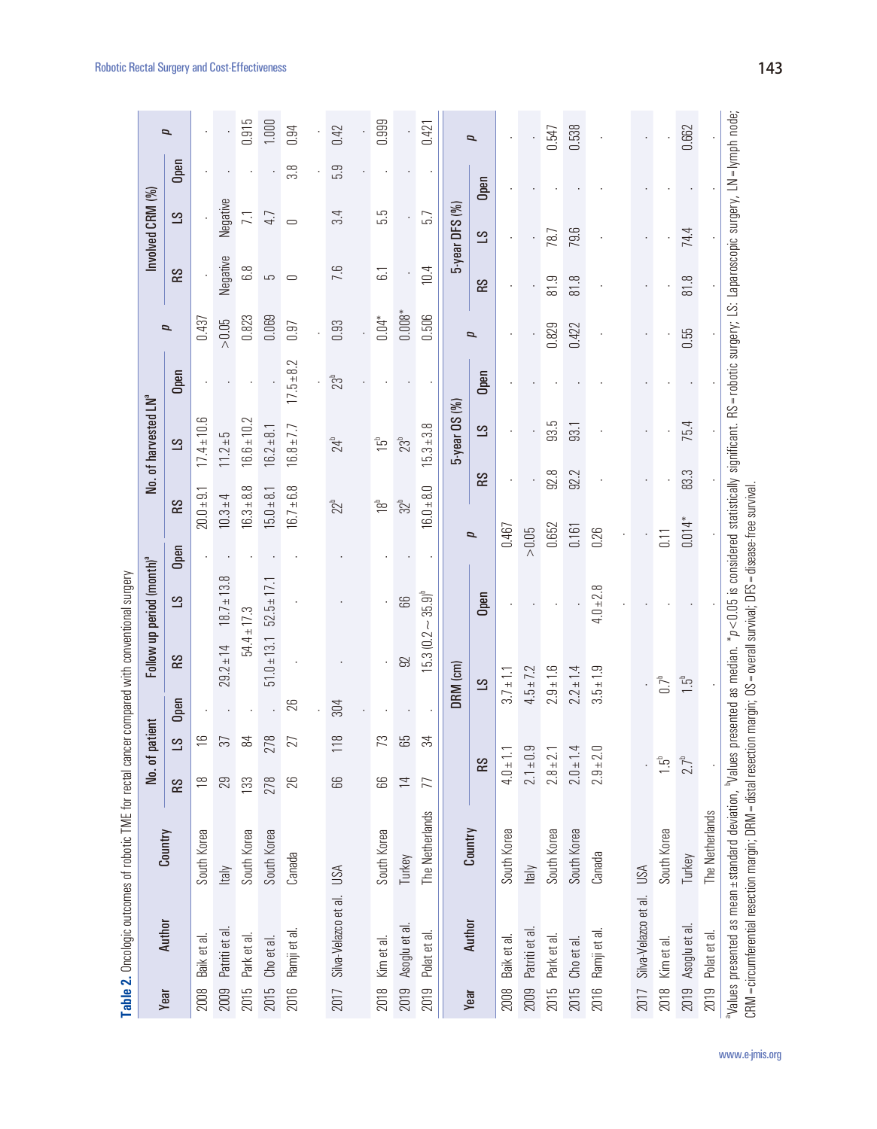|      | <b>I an Ic 7:</b> Allied An Annual Darry Allies All I and In Lime I all I and I allies                                                                                                                                             |                 |                |                |      | WEDNEY BUDDLED ALD A LOOK DU BOALLOU |                                       |                |                 |                                  |                                                                                                                            |                          |                |                  |      |                          |
|------|------------------------------------------------------------------------------------------------------------------------------------------------------------------------------------------------------------------------------------|-----------------|----------------|----------------|------|--------------------------------------|---------------------------------------|----------------|-----------------|----------------------------------|----------------------------------------------------------------------------------------------------------------------------|--------------------------|----------------|------------------|------|--------------------------|
|      |                                                                                                                                                                                                                                    |                 | No. of pati    | lent           |      |                                      | Follow up period (month) <sup>a</sup> |                |                 | No. of harvested LN <sup>ª</sup> |                                                                                                                            |                          |                | Involved CRM (%) |      |                          |
| Year | Author                                                                                                                                                                                                                             | Country         | <b>RS</b>      | $\overline{S}$ | Open | <b>RS</b>                            | $\overline{S}$                        | Open           | <b>RS</b>       | $\overline{S}$                   | Open                                                                                                                       | $\overline{p}$           | <b>RS</b>      | $\overline{S}$   | Open | p                        |
| 2008 | Baik et al.                                                                                                                                                                                                                        | South Korea     | $\frac{8}{10}$ | $\frac{1}{2}$  |      |                                      |                                       |                | $20.0 + 9.1$    | $17.4 \pm 10.6$                  |                                                                                                                            | 0.437                    |                |                  |      |                          |
| 2009 | Patriti et al                                                                                                                                                                                                                      | ltaly           | 29             | 37             |      | $29.2 \pm 14$                        | $18.7 \pm 13.8$                       |                | $10.3 + 4$      | $11.2 + 5$                       |                                                                                                                            | ${>}0.05$                | Negative       | Negative         |      |                          |
| 2015 | Park et al.                                                                                                                                                                                                                        | South Korea     | 133            | 84             |      | $54.4 \pm 17.3$                      |                                       |                | $0.3 + 8.8$     | $0.6 + 10.2$                     |                                                                                                                            | 0.823                    | 6.8            | $\overline{7.1}$ |      | 0.915                    |
| 2015 | Cho et al.                                                                                                                                                                                                                         | South Korea     | 278            | 278            |      | $51.0 \pm 13.1$                      | $52.5 \pm 17.1$                       |                | $15.0 \pm 8.1$  | $16.2 \pm 8.1$                   |                                                                                                                            | 0.069                    | 5              | 4.7              |      | 1.000                    |
| 2016 | Ramji et al.                                                                                                                                                                                                                       | Canada          | 26             | 27             | 26   |                                      |                                       |                | $16.7 \pm 6.8$  | $16.8 \pm 7.7$                   | $17.5 \pm 8.2$                                                                                                             | 0.97                     | $\bigcirc$     | $\cup$           | 3.8  | 0.94                     |
|      |                                                                                                                                                                                                                                    |                 |                |                |      |                                      |                                       |                |                 |                                  |                                                                                                                            |                          |                |                  |      |                          |
| 2017 | Silva-Velazco et al.                                                                                                                                                                                                               | USA             | 89             | 118            | 304  |                                      |                                       |                | $22^b$          | $24^b$                           | 23 <sup>b</sup>                                                                                                            | 0.93                     | 7.6            | 3.4              | 5.3  | 0.42                     |
|      |                                                                                                                                                                                                                                    |                 |                |                |      |                                      |                                       |                |                 |                                  |                                                                                                                            |                          |                |                  |      |                          |
| 2018 | Kim et al.                                                                                                                                                                                                                         | South Korea     | 89             | 73             |      |                                      |                                       |                | 18 <sup>b</sup> | $\overline{15}^{\circ}$          |                                                                                                                            | $0.04*$                  | $\overline{6}$ | 55               |      | 0.999                    |
| 2019 | Asoglu et al.                                                                                                                                                                                                                      | Turkey          | $\overline{4}$ | 65             |      | 92                                   | 88                                    |                | 32 <sup>b</sup> | $23b$                            |                                                                                                                            | $0.008*$                 |                |                  |      |                          |
| 2019 | Polat et al.                                                                                                                                                                                                                       | The Netherlands | 77             | $\approx$      |      | $15.3(0.2 \sim$                      | $35.9$ <sup>b</sup>                   |                | $16.0 + 8.0$    | $15.3 + 3.8$                     |                                                                                                                            | 0.506                    | 10.4           | 5.7              |      | 0.421                    |
|      |                                                                                                                                                                                                                                    |                 |                |                |      | DRM (cm)                             |                                       |                |                 | $5$ -year OS $(%)$               |                                                                                                                            |                          |                | 5-year DFS (%)   |      |                          |
| Year | Author                                                                                                                                                                                                                             | Country         | <b>SS</b>      |                |      | $\overline{S}$                       | Open                                  | $\overline{p}$ | <b>RS</b>       | $\overline{S}$                   | Open                                                                                                                       | $\overline{\phantom{a}}$ | RS <sub></sub> | $\overline{S}$   | Open | $\overline{\phantom{a}}$ |
| 2008 | Baik et al.                                                                                                                                                                                                                        | South Korea     | $4.0 \pm 1.1$  |                |      | $3.7 \pm 1.1$                        |                                       | 0.467          |                 |                                  |                                                                                                                            |                          |                |                  |      |                          |
| 2009 | Patriti et al.                                                                                                                                                                                                                     | Italy           | $2.1 \pm 0.9$  |                |      | $4.5 \pm 7.2$                        |                                       | $> 0.05$       |                 |                                  |                                                                                                                            |                          |                |                  |      |                          |
| 2015 | Park et al.                                                                                                                                                                                                                        | South Korea     | $2.8 \pm 2.1$  |                |      | $2.9 \pm 1.6$                        |                                       | 0.652          | 92.8            | 93.5                             |                                                                                                                            | 0.829                    | 81.9           | 78.7             |      | 0.547                    |
| 2015 | Cho et al.                                                                                                                                                                                                                         | South Korea     | $2.0 \pm 1.4$  |                |      | $2.2 \pm 1.4$                        |                                       | 0.161          | 92.2            | 93.1                             |                                                                                                                            | 0.422                    | 81.8           | 79.6             |      | 0.538                    |
| 2016 | Ramji et al.                                                                                                                                                                                                                       | Canada          | $2.9 + 2.0$    |                |      | $3.5 \pm 1.9$                        | $4.0 \pm 2.8$                         | 0.26           |                 |                                  |                                                                                                                            |                          |                |                  |      |                          |
|      |                                                                                                                                                                                                                                    |                 |                |                |      |                                      |                                       |                |                 |                                  |                                                                                                                            |                          |                |                  |      |                          |
| 2017 | Silva-Velazco et al.                                                                                                                                                                                                               | USA             |                |                |      |                                      |                                       |                |                 |                                  |                                                                                                                            |                          |                |                  |      |                          |
| 2018 | Kim et al.                                                                                                                                                                                                                         | South Korea     | ה<br>ב         |                |      | $0.7^{\circ}$                        |                                       | 0.11           |                 |                                  |                                                                                                                            |                          |                |                  |      |                          |
| 2019 | Asoglu et al.                                                                                                                                                                                                                      | Turkey          | $2.7^{\circ}$  |                |      | $\overline{1}$ .5°                   |                                       | $0.014*$       | 83.3            | 75.4                             |                                                                                                                            | 0.55                     | 81.8           | 74.4             |      | 0.662                    |
| 2019 | Polat et al.                                                                                                                                                                                                                       | The Netherlands |                |                |      |                                      |                                       |                |                 |                                  |                                                                                                                            |                          |                |                  |      |                          |
|      | CRM = circumferential resection margin; DRM = distal resection margin; OS = overall survival; DFS = disease-free survival.<br><sup>3</sup> Values presented as mean ± standard deviation, <sup>3</sup> Values presented as median. |                 |                |                |      |                                      |                                       |                |                 |                                  | $^*/\!\! \rho$ <0.05 is considered statistically significant. RS=robotic surgery; LS: Laparoscopic surgery, LN=lymph node; |                          |                |                  |      |                          |

Table 2. Oncologic outcomes of robotic TME for rectal cancer compared with conventional surgery **Table 2.** Oncologic outcomes of robotic TME for rectal cancer compared with conventional surgery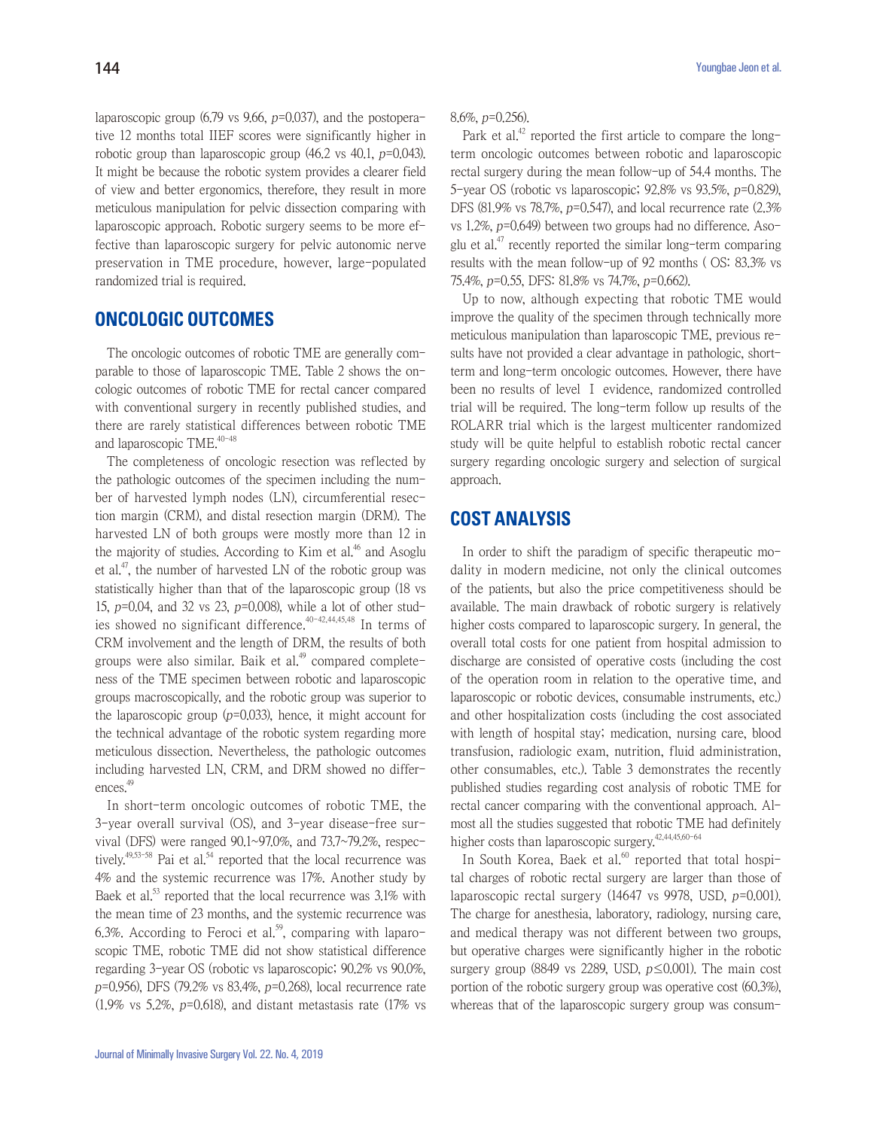laparoscopic group  $(6.79 \text{ vs } 9.66, p=0.037)$ , and the postoperative 12 months total IIEF scores were significantly higher in robotic group than laparoscopic group  $(46.2 \text{ vs } 40.1, p=0.043)$ . It might be because the robotic system provides a clearer field of view and better ergonomics, therefore, they result in more meticulous manipulation for pelvic dissection comparing with laparoscopic approach. Robotic surgery seems to be more effective than laparoscopic surgery for pelvic autonomic nerve preservation in TME procedure, however, large-populated randomized trial is required.

#### **ONCOLOGIC OUTCOMES**

The oncologic outcomes of robotic TME are generally comparable to those of laparoscopic TME. Table 2 shows the oncologic outcomes of robotic TME for rectal cancer compared with conventional surgery in recently published studies, and there are rarely statistical differences between robotic TME and laparoscopic TME.<sup>40-48</sup>

The completeness of oncologic resection was reflected by the pathologic outcomes of the specimen including the number of harvested lymph nodes (LN), circumferential resection margin (CRM), and distal resection margin (DRM). The harvested LN of both groups were mostly more than 12 in the majority of studies. According to Kim et al.<sup>46</sup> and Asoglu et al.<sup>47</sup>, the number of harvested LN of the robotic group was statistically higher than that of the laparoscopic group (18 vs 15,  $p=0.04$ , and 32 vs 23,  $p=0.008$ ), while a lot of other studies showed no significant difference.<sup>40-42,44,45,48</sup> In terms of CRM involvement and the length of DRM, the results of both groups were also similar. Baik et al. $49$  compared completeness of the TME specimen between robotic and laparoscopic groups macroscopically, and the robotic group was superior to the laparoscopic group  $(p=0.033)$ , hence, it might account for the technical advantage of the robotic system regarding more meticulous dissection. Nevertheless, the pathologic outcomes including harvested LN, CRM, and DRM showed no differences.<sup>49</sup>

In short-term oncologic outcomes of robotic TME, the 3-year overall survival (OS), and 3-year disease-free survival (DFS) were ranged 90.1~97.0%, and 73.7~79.2%, respectively.<sup>49,53-58</sup> Pai et al.<sup>54</sup> reported that the local recurrence was 4% and the systemic recurrence was 17%. Another study by Baek et al.<sup>53</sup> reported that the local recurrence was  $3.1\%$  with the mean time of 23 months, and the systemic recurrence was 6.3%. According to Feroci et al.<sup>59</sup>, comparing with laparoscopic TME, robotic TME did not show statistical difference regarding 3-year OS (robotic vs laparoscopic; 90.2% vs 90.0%, <sup>p</sup>=0.956), DFS (79.2% vs 83.4%, p=0.268), local recurrence rate  $(1.9\%$  vs 5.2%, p=0.618), and distant metastasis rate  $(17\%$  vs

8.6%, p=0.256).

Park et al.<sup>42</sup> reported the first article to compare the longterm oncologic outcomes between robotic and laparoscopic rectal surgery during the mean follow-up of 54.4 months. The 5-year OS (robotic vs laparoscopic; 92.8% vs 93.5%, p=0.829), DFS (81.9% vs 78.7%, p=0.547), and local recurrence rate (2.3% vs 1.2%, p=0.649) between two groups had no difference. Asoglu et al.<sup>47</sup> recently reported the similar long-term comparing results with the mean follow-up of 92 months ( OS: 83.3% vs 75.4%, p=0.55, DFS: 81.8% vs 74.7%, p=0.662).

Up to now, although expecting that robotic TME would improve the quality of the specimen through technically more meticulous manipulation than laparoscopic TME, previous results have not provided a clear advantage in pathologic, shortterm and long-term oncologic outcomes. However, there have been no results of level Ⅰ evidence, randomized controlled trial will be required. The long-term follow up results of the ROLARR trial which is the largest multicenter randomized study will be quite helpful to establish robotic rectal cancer surgery regarding oncologic surgery and selection of surgical approach.

#### **COST ANALYSIS**

In order to shift the paradigm of specific therapeutic modality in modern medicine, not only the clinical outcomes of the patients, but also the price competitiveness should be available. The main drawback of robotic surgery is relatively higher costs compared to laparoscopic surgery. In general, the overall total costs for one patient from hospital admission to discharge are consisted of operative costs (including the cost of the operation room in relation to the operative time, and laparoscopic or robotic devices, consumable instruments, etc.) and other hospitalization costs (including the cost associated with length of hospital stay; medication, nursing care, blood transfusion, radiologic exam, nutrition, fluid administration, other consumables, etc.). Table 3 demonstrates the recently published studies regarding cost analysis of robotic TME for rectal cancer comparing with the conventional approach. Almost all the studies suggested that robotic TME had definitely higher costs than laparoscopic surgery.<sup>42,44,45,60-64</sup>

In South Korea, Baek et al. $60$  reported that total hospital charges of robotic rectal surgery are larger than those of laparoscopic rectal surgery  $(14647 \text{ vs } 9978, \text{ USD}, p=0.001)$ . The charge for anesthesia, laboratory, radiology, nursing care, and medical therapy was not different between two groups, but operative charges were significantly higher in the robotic surgery group (8849 vs 2289, USD,  $p \le 0.001$ ). The main cost portion of the robotic surgery group was operative cost (60.3%), whereas that of the laparoscopic surgery group was consum-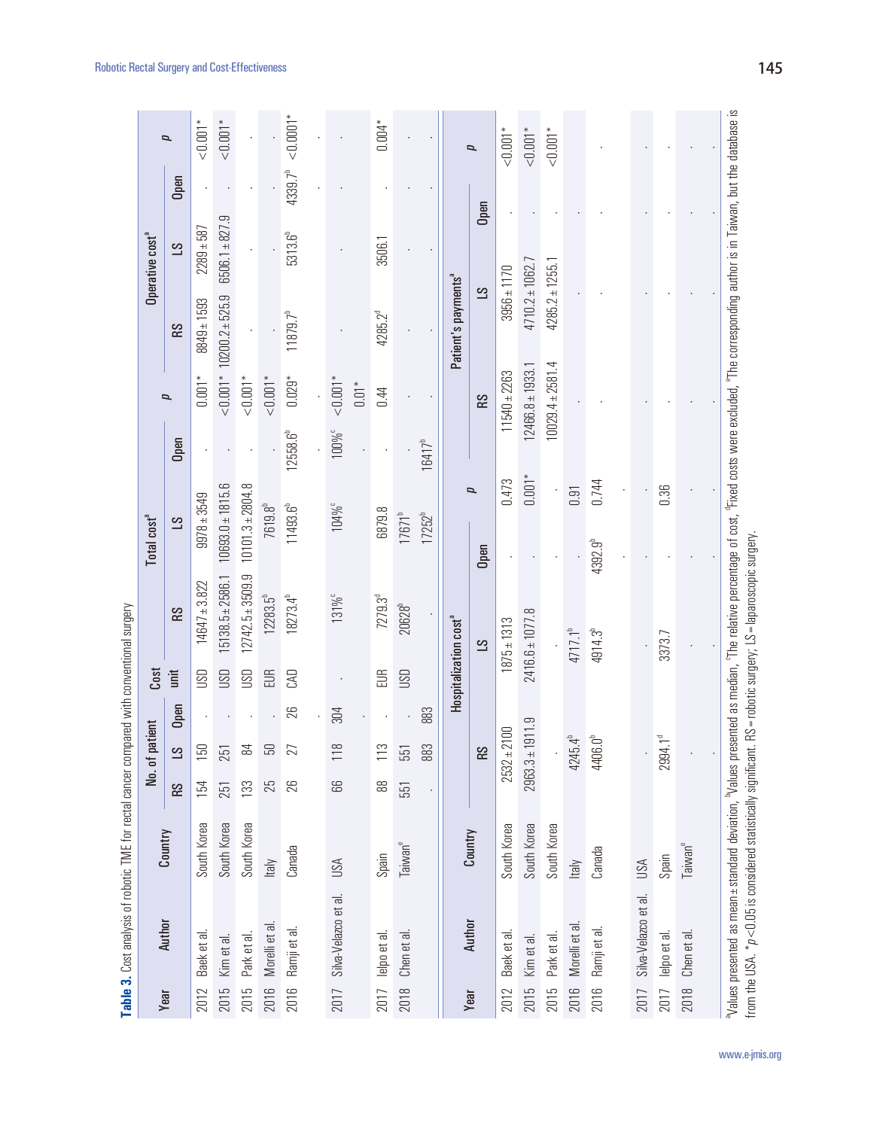|      | <b>CONSIDERATION ISSUED AND DESCRIPTION OF A READ OF A READ OF A READ OF A READ OF A READ OF A READ .</b>                                                                                                                                                               |                     |           |                     |      |                                   |                                               |                              |                   |                      |                                 |                             |                     |                          |
|------|-------------------------------------------------------------------------------------------------------------------------------------------------------------------------------------------------------------------------------------------------------------------------|---------------------|-----------|---------------------|------|-----------------------------------|-----------------------------------------------|------------------------------|-------------------|----------------------|---------------------------------|-----------------------------|---------------------|--------------------------|
|      |                                                                                                                                                                                                                                                                         |                     |           | No. of patient      |      | Cost                              |                                               | Total cost <sup>a</sup>      |                   |                      |                                 | Operative cost <sup>a</sup> |                     |                          |
| Year | Author                                                                                                                                                                                                                                                                  | Country             | <b>SS</b> | $\overline{S}$      | Open | imit                              | R <sub>S</sub>                                | $\overline{S}$               | Open              | p                    | <b>SS</b>                       | $\overline{S}$              | Open                | p                        |
| 2012 | Baek et al.                                                                                                                                                                                                                                                             | South Korea         | 154       | 150                 |      | <b>USD</b>                        | $14647 \pm 3.822$                             | $9978 \pm 3549$              |                   | $0.001*$             | $8849 \pm 1593$                 | $2289 + 587$                |                     | $<\!\!0.001^*$           |
| 2015 | Kim et al.                                                                                                                                                                                                                                                              | South Korea         | 251       | 251                 |      | <b>USU</b>                        | $5138.5 \pm 2586.1$                           | $10693.0 \pm 1815.6$         |                   |                      | $< 0.001*102002*525.9$          | $6506.1 + 827.9$            |                     | $1001*$                  |
| 2015 | Park et al.                                                                                                                                                                                                                                                             | South Korea         | 133       | 84                  |      | <b>USU</b>                        | $12742.5 \pm 3509.9$                          | $10101.3 \pm 2804.8$         |                   | $1 * 0.001$          |                                 |                             |                     |                          |
| 2016 | Morelli et al                                                                                                                                                                                                                                                           | ltaly               | 25        | 50                  |      | EUR                               | $12283.5^{h}$                                 | 7619.8 <sup>b</sup>          |                   | $1 * 0.001$          |                                 |                             |                     |                          |
| 2016 | Ramji et al.                                                                                                                                                                                                                                                            | Canada              | 26        | 27                  | 26   | CAD                               | $18273.4^{b}$                                 | 11493.6 <sup>b</sup>         | 12558.6           | $0.029*$             | $11879.7^{b}$                   | 5313.6 <sup>b</sup>         | 4339.7 <sup>b</sup> | $\leq 0.0001$ *          |
|      |                                                                                                                                                                                                                                                                         |                     |           |                     |      |                                   |                                               |                              |                   |                      |                                 |                             |                     |                          |
| 2017 | Silva-Velazco et al.                                                                                                                                                                                                                                                    | USA                 | 89        | 118                 | 304  |                                   | 131% <sup>c</sup>                             | $104\%$                      | 100% <sup>c</sup> | $1*$                 |                                 |                             |                     |                          |
|      |                                                                                                                                                                                                                                                                         |                     |           |                     |      |                                   |                                               |                              |                   | $0.01*$              |                                 |                             |                     |                          |
| 2017 | lelpo et al                                                                                                                                                                                                                                                             | Spain               | 88        | 113                 |      | EUR                               | 7279.3 <sup>d</sup>                           | 6879.8                       |                   | 0.44                 | $4285.2^{d}$                    | 3506.1                      |                     | $0.004*$                 |
| 2018 | Chen et al.                                                                                                                                                                                                                                                             | Taiwan <sup>e</sup> | 551       | 551                 |      | <b>USD</b>                        | 20628 <sup>b</sup>                            | $17671^{b}$                  |                   |                      |                                 |                             |                     |                          |
|      |                                                                                                                                                                                                                                                                         |                     |           | 883                 | 883  |                                   |                                               | 17252 <sup>b</sup>           | $16417^{b}$       |                      |                                 |                             |                     |                          |
|      |                                                                                                                                                                                                                                                                         |                     |           |                     |      | Hospitalization cost <sup>a</sup> |                                               |                              |                   |                      | Patient's payments <sup>ª</sup> |                             |                     |                          |
| Year | Author                                                                                                                                                                                                                                                                  | Country             |           | <b>RS</b>           |      |                                   | $\overline{S}$                                | Open                         | $\overline{p}$    | <b>SS</b>            | ST                              | Open                        |                     | $\overline{\phantom{a}}$ |
| 2012 | Baek et al.                                                                                                                                                                                                                                                             | South Korea         |           | $2532 \pm 2100$     |      |                                   | $1875 \pm 1313$                               | 0.473                        |                   | $11540 \pm 2263$     | $3956 \pm 1170$                 |                             |                     | $1001*$                  |
| 2015 | Kim et al.                                                                                                                                                                                                                                                              | South Korea         |           | $2963.3 \pm 191$    | بن   |                                   | $2416.6 \pm 1077.8$                           |                              | $0.001*$          | $12466.8 \pm 1933.1$ | $4710.2 \pm 1062.7$             |                             |                     | 1001                     |
| 2015 | Park et al.                                                                                                                                                                                                                                                             | South Korea         |           |                     |      |                                   |                                               |                              |                   | $10029.4 \pm 2581.4$ | $4285.2 \pm 1255.1$             |                             |                     | $1001*$                  |
| 2016 | Morelli et al.                                                                                                                                                                                                                                                          | ltaly               |           | $4245.4^{b}$        |      |                                   | $4717.1^{b}$                                  | 0.91                         |                   |                      |                                 |                             |                     |                          |
| 2016 | Ramji et al.                                                                                                                                                                                                                                                            | Canada              |           | 4406.0 <sup>b</sup> |      |                                   | 4914.3 <sup>b</sup>                           | 0.744<br>4392.9 <sup>b</sup> |                   |                      |                                 |                             |                     |                          |
|      |                                                                                                                                                                                                                                                                         |                     |           |                     |      |                                   |                                               |                              |                   |                      |                                 |                             |                     |                          |
| 2017 | Silva-Velazco et al.                                                                                                                                                                                                                                                    | USA                 |           |                     |      |                                   |                                               |                              |                   |                      |                                 |                             |                     |                          |
| 2017 | lelpo et al.                                                                                                                                                                                                                                                            | Spain               |           | 2994.1 <sup>d</sup> |      |                                   | 3373.7                                        | 0.36                         |                   |                      |                                 |                             |                     |                          |
| 2018 | Chen et al.                                                                                                                                                                                                                                                             | Taiwan <sup>e</sup> |           |                     |      |                                   |                                               |                              |                   |                      |                                 |                             |                     |                          |
|      |                                                                                                                                                                                                                                                                         |                     |           |                     |      |                                   |                                               |                              |                   |                      |                                 |                             |                     |                          |
|      | Nalues presented as mean±standard deviation, Nalues presented as median, °The relative percentage of cost, °Fixed costs were excluded, °The corresponding author is in Taiwan, but the database is<br>from the USA. *p<0.05 is considered statistically significant. RS |                     |           |                     |      |                                   | = robotic surgery; LS = laparoscopic surgery. |                              |                   |                      |                                 |                             |                     |                          |

Table 3. Cost analysis of robotic TME for rectal cancer compared with conventional surgery **Table 3.** Cost analysis of robotic TME for rectal cancer compared with conventional surgery

www.e-jmis.org

Robotic Rectal Surgery and Cost-Effectiveness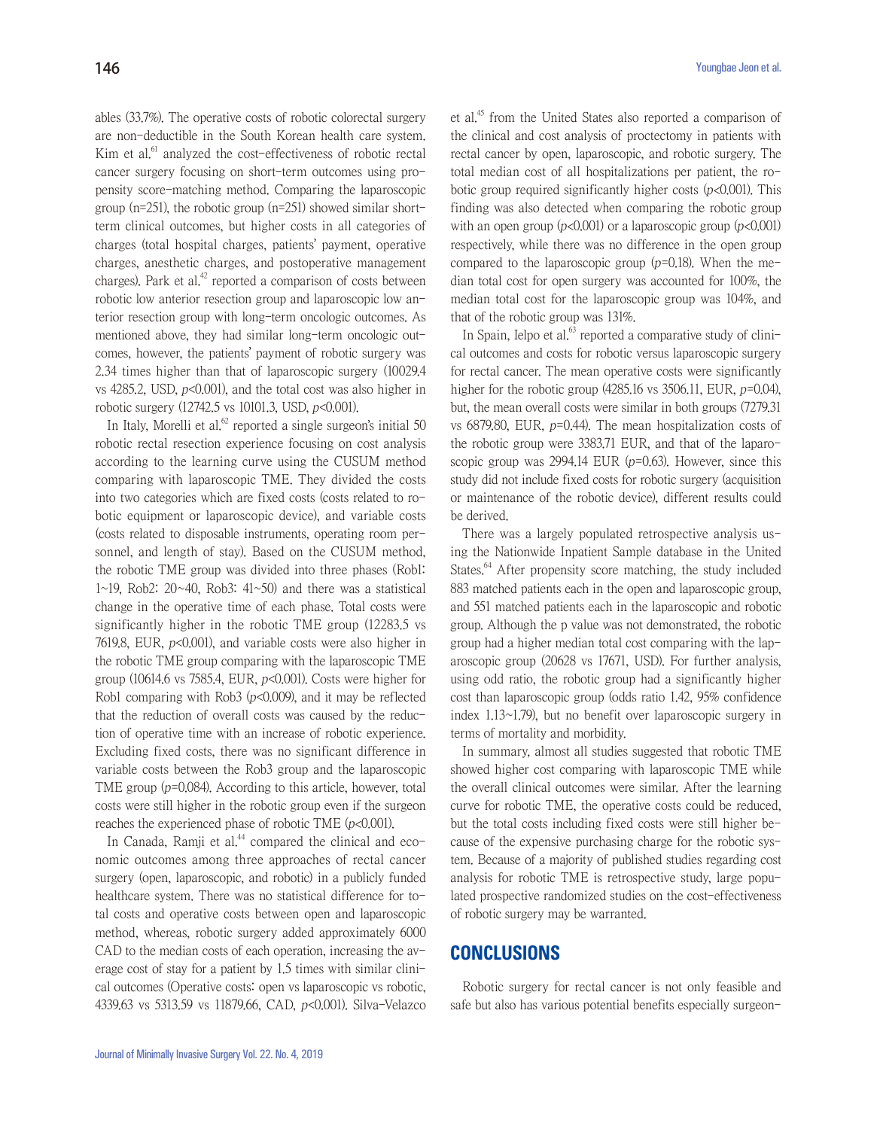ables (33.7%). The operative costs of robotic colorectal surgery are non-deductible in the South Korean health care system. Kim et al.<sup>61</sup> analyzed the cost-effectiveness of robotic rectal cancer surgery focusing on short-term outcomes using propensity score-matching method. Comparing the laparoscopic group (n=251), the robotic group (n=251) showed similar shortterm clinical outcomes, but higher costs in all categories of charges (total hospital charges, patients' payment, operative charges, anesthetic charges, and postoperative management charges). Park et al. $42$  reported a comparison of costs between robotic low anterior resection group and laparoscopic low anterior resection group with long-term oncologic outcomes. As mentioned above, they had similar long-term oncologic outcomes, however, the patients' payment of robotic surgery was 2.34 times higher than that of laparoscopic surgery (10029.4 vs 4285.2, USD,  $p<0.001$ ), and the total cost was also higher in robotic surgery  $(12742.5 \text{ vs } 10101.3, \text{USD}, p<0.001)$ .

In Italy, Morelli et al. $62$  reported a single surgeon's initial 50 robotic rectal resection experience focusing on cost analysis according to the learning curve using the CUSUM method comparing with laparoscopic TME. They divided the costs into two categories which are fixed costs (costs related to robotic equipment or laparoscopic device), and variable costs (costs related to disposable instruments, operating room personnel, and length of stay). Based on the CUSUM method, the robotic TME group was divided into three phases (Rob1: 1~19, Rob2: 20~40, Rob3: 41~50) and there was a statistical change in the operative time of each phase. Total costs were significantly higher in the robotic TME group (12283.5 vs 7619.8, EUR,  $p<0.001$ ), and variable costs were also higher in the robotic TME group comparing with the laparoscopic TME group (10614.6 vs 7585.4, EUR,  $p<0.001$ ). Costs were higher for Rob1 comparing with Rob3  $(p<0.009)$ , and it may be reflected that the reduction of overall costs was caused by the reduction of operative time with an increase of robotic experience. Excluding fixed costs, there was no significant difference in variable costs between the Rob3 group and the laparoscopic TME group  $(p=0.084)$ . According to this article, however, total costs were still higher in the robotic group even if the surgeon reaches the experienced phase of robotic TME (p<0.001).

In Canada, Ramji et al. $44$  compared the clinical and economic outcomes among three approaches of rectal cancer surgery (open, laparoscopic, and robotic) in a publicly funded healthcare system. There was no statistical difference for total costs and operative costs between open and laparoscopic method, whereas, robotic surgery added approximately 6000 CAD to the median costs of each operation, increasing the average cost of stay for a patient by 1.5 times with similar clinical outcomes (Operative costs: open vs laparoscopic vs robotic, 4339.63 vs 5313.59 vs 11879.66, CAD, p<0.001). Silva-Velazco

et al.45 from the United States also reported a comparison of the clinical and cost analysis of proctectomy in patients with rectal cancer by open, laparoscopic, and robotic surgery. The total median cost of all hospitalizations per patient, the robotic group required significantly higher costs  $(p<0.001)$ . This finding was also detected when comparing the robotic group with an open group  $(p<0.001)$  or a laparoscopic group  $(p<0.001)$ respectively, while there was no difference in the open group compared to the laparoscopic group  $(p=0.18)$ . When the median total cost for open surgery was accounted for 100%, the median total cost for the laparoscopic group was 104%, and that of the robotic group was 131%.

In Spain, Ielpo et al. $63$  reported a comparative study of clinical outcomes and costs for robotic versus laparoscopic surgery for rectal cancer. The mean operative costs were significantly higher for the robotic group  $(4285.16 \text{ vs } 3506.11, \text{ EUR}, p=0.04)$ , but, the mean overall costs were similar in both groups (7279.31 vs 6879.80, EUR,  $p=0.44$ ). The mean hospitalization costs of the robotic group were 3383.71 EUR, and that of the laparoscopic group was 2994.14 EUR  $(p=0.63)$ . However, since this study did not include fixed costs for robotic surgery (acquisition or maintenance of the robotic device), different results could be derived.

There was a largely populated retrospective analysis using the Nationwide Inpatient Sample database in the United States.<sup>64</sup> After propensity score matching, the study included 883 matched patients each in the open and laparoscopic group, and 551 matched patients each in the laparoscopic and robotic group. Although the p value was not demonstrated, the robotic group had a higher median total cost comparing with the laparoscopic group (20628 vs 17671, USD). For further analysis, using odd ratio, the robotic group had a significantly higher cost than laparoscopic group (odds ratio 1.42, 95% confidence index 1.13~1.79), but no benefit over laparoscopic surgery in terms of mortality and morbidity.

In summary, almost all studies suggested that robotic TME showed higher cost comparing with laparoscopic TME while the overall clinical outcomes were similar. After the learning curve for robotic TME, the operative costs could be reduced, but the total costs including fixed costs were still higher because of the expensive purchasing charge for the robotic system. Because of a majority of published studies regarding cost analysis for robotic TME is retrospective study, large populated prospective randomized studies on the cost-effectiveness of robotic surgery may be warranted.

#### **CONCLUSIONS**

Robotic surgery for rectal cancer is not only feasible and safe but also has various potential benefits especially surgeon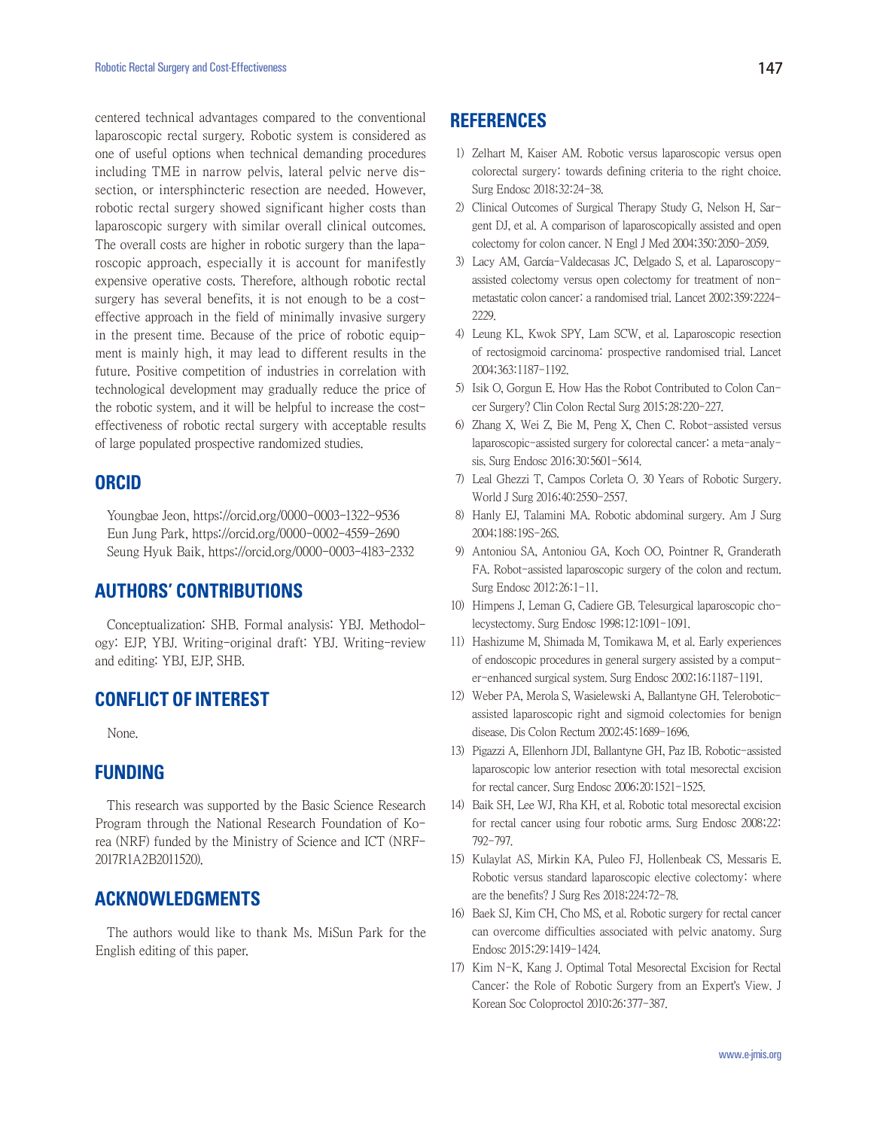centered technical advantages compared to the conventional laparoscopic rectal surgery. Robotic system is considered as one of useful options when technical demanding procedures including TME in narrow pelvis, lateral pelvic nerve dissection, or intersphincteric resection are needed. However, robotic rectal surgery showed significant higher costs than laparoscopic surgery with similar overall clinical outcomes. The overall costs are higher in robotic surgery than the laparoscopic approach, especially it is account for manifestly expensive operative costs. Therefore, although robotic rectal surgery has several benefits, it is not enough to be a costeffective approach in the field of minimally invasive surgery in the present time. Because of the price of robotic equipment is mainly high, it may lead to different results in the future. Positive competition of industries in correlation with technological development may gradually reduce the price of the robotic system, and it will be helpful to increase the costeffectiveness of robotic rectal surgery with acceptable results of large populated prospective randomized studies.

#### **ORCID**

Youngbae Jeon, https://orcid.org/0000-0003-1322-9536 Eun Jung Park, https://orcid.org/0000-0002-4559-2690 Seung Hyuk Baik, https://orcid.org/0000-0003-4183-2332

#### **AUTHORS' CONTRIBUTIONS**

Conceptualization: SHB. Formal analysis: YBJ. Methodology: EJP, YBJ. Writing-original draft: YBJ. Writing-review and editing: YBJ, EJP, SHB.

# **CONFLICT OF INTEREST**

None.

### **FUNDING**

This research was supported by the Basic Science Research Program through the National Research Foundation of Korea (NRF) funded by the Ministry of Science and ICT (NRF-2017R1A2B2011520).

# **ACKNOWLEDGMENTS**

The authors would like to thank Ms. MiSun Park for the English editing of this paper.

### **REFERENCES**

- 1) Zelhart M, Kaiser AM. Robotic versus laparoscopic versus open colorectal surgery: towards defining criteria to the right choice. Surg Endosc 2018;32:24-38.
- 2) Clinical Outcomes of Surgical Therapy Study G, Nelson H, Sargent DJ, et al. A comparison of laparoscopically assisted and open colectomy for colon cancer. N Engl J Med 2004;350:2050-2059.
- 3) Lacy AM, García-Valdecasas JC, Delgado S, et al. Laparoscopyassisted colectomy versus open colectomy for treatment of nonmetastatic colon cancer: a randomised trial. Lancet 2002;359:2224- 2229.
- 4) Leung KL, Kwok SPY, Lam SCW, et al. Laparoscopic resection of rectosigmoid carcinoma: prospective randomised trial. Lancet 2004;363:1187-1192.
- 5) Isik O, Gorgun E. How Has the Robot Contributed to Colon Cancer Surgery? Clin Colon Rectal Surg 2015;28:220-227.
- 6) Zhang X, Wei Z, Bie M, Peng X, Chen C. Robot-assisted versus laparoscopic-assisted surgery for colorectal cancer: a meta-analysis. Surg Endosc 2016;30:5601-5614.
- 7) Leal Ghezzi T, Campos Corleta O. 30 Years of Robotic Surgery. World J Surg 2016;40:2550-2557.
- 8) Hanly EJ, Talamini MA. Robotic abdominal surgery. Am J Surg 2004;188:19S-26S.
- 9) Antoniou SA, Antoniou GA, Koch OO, Pointner R, Granderath FA. Robot-assisted laparoscopic surgery of the colon and rectum. Surg Endosc 2012;26:1-11.
- 10) Himpens J, Leman G, Cadiere GB. Telesurgical laparoscopic cholecystectomy. Surg Endosc 1998;12:1091-1091.
- 11) Hashizume M, Shimada M, Tomikawa M, et al. Early experiences of endoscopic procedures in general surgery assisted by a computer-enhanced surgical system. Surg Endosc 2002;16:1187-1191.
- 12) Weber PA, Merola S, Wasielewski A, Ballantyne GH. Teleroboticassisted laparoscopic right and sigmoid colectomies for benign disease. Dis Colon Rectum 2002;45:1689-1696.
- 13) Pigazzi A, Ellenhorn JDI, Ballantyne GH, Paz IB. Robotic-assisted laparoscopic low anterior resection with total mesorectal excision for rectal cancer. Surg Endosc 2006;20:1521-1525.
- 14) Baik SH, Lee WJ, Rha KH, et al. Robotic total mesorectal excision for rectal cancer using four robotic arms. Surg Endosc 2008;22: 792-797.
- 15) Kulaylat AS, Mirkin KA, Puleo FJ, Hollenbeak CS, Messaris E. Robotic versus standard laparoscopic elective colectomy: where are the benefits? J Surg Res 2018;224:72-78.
- 16) Baek SJ, Kim CH, Cho MS, et al. Robotic surgery for rectal cancer can overcome difficulties associated with pelvic anatomy. Surg Endosc 2015;29:1419-1424.
- 17) Kim N-K, Kang J. Optimal Total Mesorectal Excision for Rectal Cancer: the Role of Robotic Surgery from an Expert's View. J Korean Soc Coloproctol 2010;26:377-387.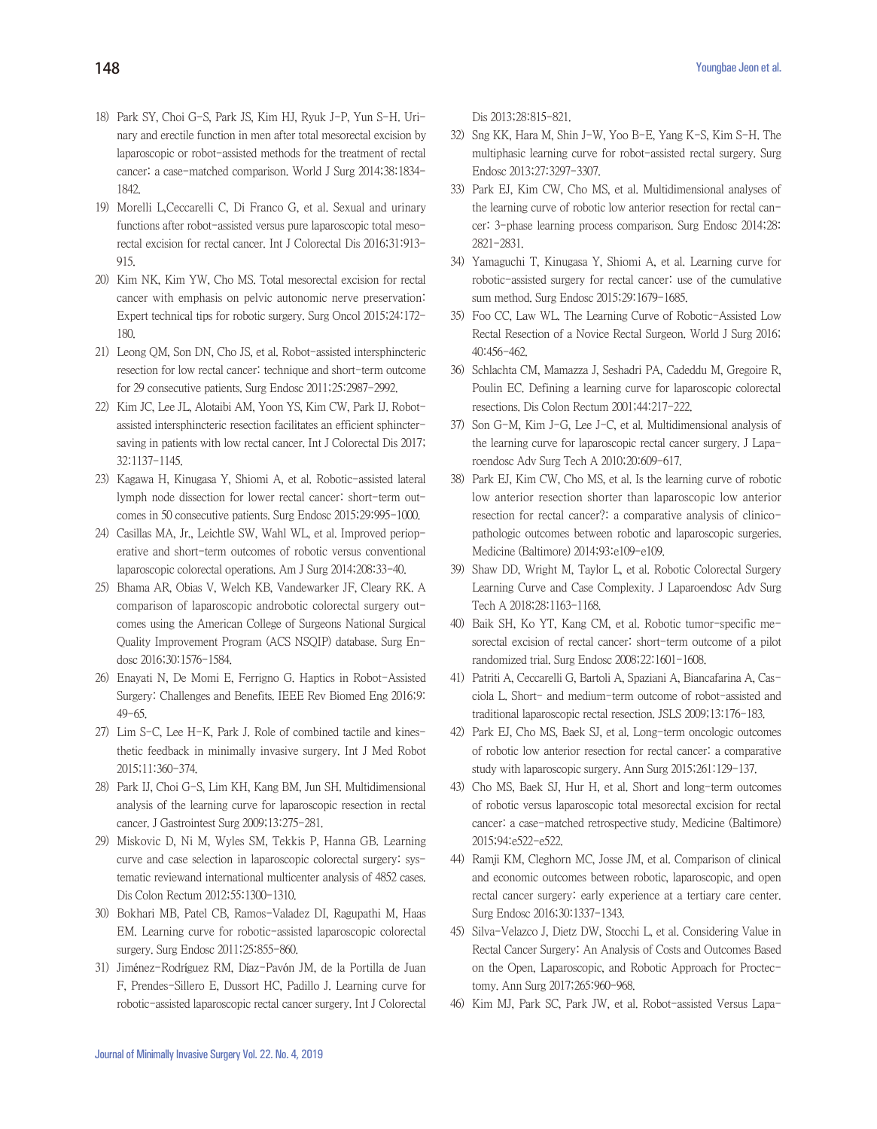- 18) Park SY, Choi G-S, Park JS, Kim HJ, Ryuk J-P, Yun S-H. Urinary and erectile function in men after total mesorectal excision by laparoscopic or robot-assisted methods for the treatment of rectal cancer: a case-matched comparison. World J Surg 2014;38:1834- 1842.
- 19) Morelli L,Ceccarelli C, Di Franco G, et al. Sexual and urinary functions after robot-assisted versus pure laparoscopic total mesorectal excision for rectal cancer. Int J Colorectal Dis 2016;31:913- 915.
- 20) Kim NK, Kim YW, Cho MS. Total mesorectal excision for rectal cancer with emphasis on pelvic autonomic nerve preservation: Expert technical tips for robotic surgery. Surg Oncol 2015;24:172- 180.
- 21) Leong QM, Son DN, Cho JS, et al. Robot-assisted intersphincteric resection for low rectal cancer: technique and short-term outcome for 29 consecutive patients. Surg Endosc 2011;25:2987-2992.
- 22) Kim JC, Lee JL, Alotaibi AM, Yoon YS, Kim CW, Park IJ. Robotassisted intersphincteric resection facilitates an efficient sphinctersaving in patients with low rectal cancer. Int J Colorectal Dis 2017; 32:1137-1145.
- 23) Kagawa H, Kinugasa Y, Shiomi A, et al. Robotic-assisted lateral lymph node dissection for lower rectal cancer: short-term outcomes in 50 consecutive patients. Surg Endosc 2015;29:995-1000.
- 24) Casillas MA, Jr., Leichtle SW, Wahl WL, et al. Improved perioperative and short-term outcomes of robotic versus conventional laparoscopic colorectal operations. Am J Surg 2014;208:33-40.
- 25) Bhama AR, Obias V, Welch KB, Vandewarker JF, Cleary RK. A comparison of laparoscopic androbotic colorectal surgery outcomes using the American College of Surgeons National Surgical Quality Improvement Program (ACS NSQIP) database. Surg Endosc 2016;30:1576-1584.
- 26) Enayati N, De Momi E, Ferrigno G. Haptics in Robot-Assisted Surgery: Challenges and Benefits. IEEE Rev Biomed Eng 2016;9: 49-65.
- 27) Lim S-C, Lee H-K, Park J. Role of combined tactile and kinesthetic feedback in minimally invasive surgery. Int J Med Robot 2015;11:360-374.
- 28) Park IJ, Choi G-S, Lim KH, Kang BM, Jun SH. Multidimensional analysis of the learning curve for laparoscopic resection in rectal cancer. J Gastrointest Surg 2009;13:275-281.
- 29) Miskovic D, Ni M, Wyles SM, Tekkis P, Hanna GB. Learning curve and case selection in laparoscopic colorectal surgery: systematic reviewand international multicenter analysis of 4852 cases. Dis Colon Rectum 2012;55:1300-1310.
- 30) Bokhari MB, Patel CB, Ramos-Valadez DI, Ragupathi M, Haas EM. Learning curve for robotic-assisted laparoscopic colorectal surgery. Surg Endosc 2011;25:855-860.
- 31) Jiménez-Rodríguez RM, Díaz-Pavón JM, de la Portilla de Juan F, Prendes-Sillero E, Dussort HC, Padillo J. Learning curve for robotic-assisted laparoscopic rectal cancer surgery. Int J Colorectal

Dis 2013;28:815-821.

- 32) Sng KK, Hara M, Shin J-W, Yoo B-E, Yang K-S, Kim S-H. The multiphasic learning curve for robot-assisted rectal surgery. Surg Endosc 2013;27:3297-3307.
- 33) Park EJ, Kim CW, Cho MS, et al. Multidimensional analyses of the learning curve of robotic low anterior resection for rectal cancer: 3-phase learning process comparison. Surg Endosc 2014;28: 2821-2831.
- 34) Yamaguchi T, Kinugasa Y, Shiomi A, et al. Learning curve for robotic-assisted surgery for rectal cancer: use of the cumulative sum method. Surg Endosc 2015;29:1679-1685.
- 35) Foo CC, Law WL. The Learning Curve of Robotic-Assisted Low Rectal Resection of a Novice Rectal Surgeon. World J Surg 2016; 40:456-462.
- 36) Schlachta CM, Mamazza J, Seshadri PA, Cadeddu M, Gregoire R, Poulin EC. Defining a learning curve for laparoscopic colorectal resections. Dis Colon Rectum 2001;44:217-222.
- 37) Son G-M, Kim J-G, Lee J-C, et al. Multidimensional analysis of the learning curve for laparoscopic rectal cancer surgery. J Laparoendosc Adv Surg Tech A 2010;20:609-617.
- 38) Park EJ, Kim CW, Cho MS, et al. Is the learning curve of robotic low anterior resection shorter than laparoscopic low anterior resection for rectal cancer?: a comparative analysis of clinicopathologic outcomes between robotic and laparoscopic surgeries. Medicine (Baltimore) 2014;93:e109-e109.
- 39) Shaw DD, Wright M, Taylor L, et al. Robotic Colorectal Surgery Learning Curve and Case Complexity. J Laparoendosc Adv Surg Tech A 2018;28:1163-1168.
- 40) Baik SH, Ko YT, Kang CM, et al. Robotic tumor-specific mesorectal excision of rectal cancer: short-term outcome of a pilot randomized trial. Surg Endosc 2008;22:1601-1608.
- 41) Patriti A, Ceccarelli G, Bartoli A, Spaziani A, Biancafarina A, Casciola L. Short- and medium-term outcome of robot-assisted and traditional laparoscopic rectal resection. JSLS 2009;13:176-183.
- 42) Park EJ, Cho MS, Baek SJ, et al. Long-term oncologic outcomes of robotic low anterior resection for rectal cancer: a comparative study with laparoscopic surgery. Ann Surg 2015;261:129-137.
- 43) Cho MS, Baek SJ, Hur H, et al. Short and long-term outcomes of robotic versus laparoscopic total mesorectal excision for rectal cancer: a case-matched retrospective study. Medicine (Baltimore) 2015;94:e522-e522.
- 44) Ramji KM, Cleghorn MC, Josse JM, et al. Comparison of clinical and economic outcomes between robotic, laparoscopic, and open rectal cancer surgery: early experience at a tertiary care center. Surg Endosc 2016;30:1337-1343.
- 45) Silva-Velazco J, Dietz DW, Stocchi L, et al. Considering Value in Rectal Cancer Surgery: An Analysis of Costs and Outcomes Based on the Open, Laparoscopic, and Robotic Approach for Proctectomy. Ann Surg 2017;265:960-968.
- 46) Kim MJ, Park SC, Park JW, et al. Robot-assisted Versus Lapa-